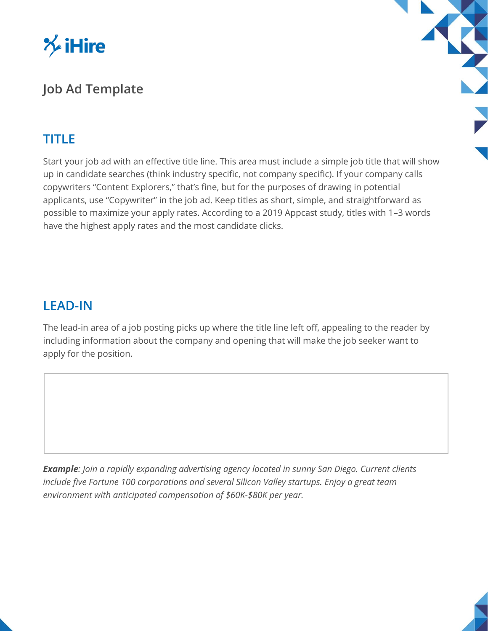

# **Job Ad Template**

## **TITLE**

Start your job ad with an effective title line. This area must include a simple job title that will show up in candidate searches (think industry specific, not company specific). If your company calls copywriters "Content Explorers," that's fine, but for the purposes of drawing in potential applicants, use "Copywriter" in the job ad. Keep titles as short, simple, and straightforward as possible to maximize your apply rates. According to a 2019 Appcast study, titles with 1–3 words have the highest apply rates and the most candidate clicks.

### **LEAD-IN**

The lead-in area of a job posting picks up where the title line left off, appealing to the reader by including information about the company and opening that will make the job seeker want to apply for the position.

*Example: Join a rapidly expanding advertising agency located in sunny San Diego. Current clients include five Fortune 100 corporations and several Silicon Valley startups. Enjoy a great team environment with anticipated compensation of \$60K-\$80K per year.*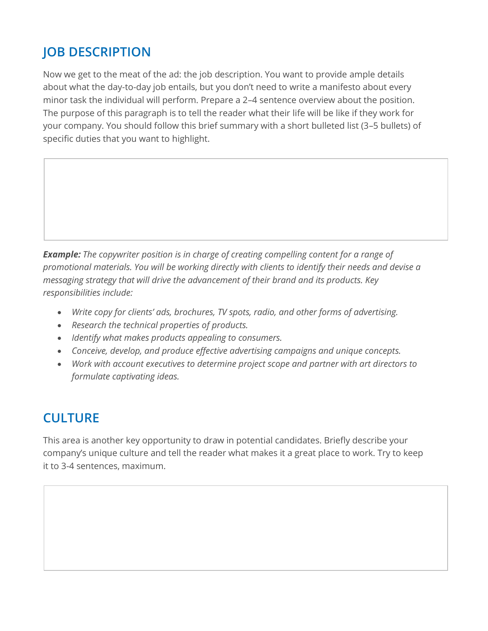# **JOB DESCRIPTION**

Now we get to the meat of the ad: the job description. You want to provide ample details about what the day-to-day job entails, but you don't need to write a manifesto about every minor task the individual will perform. Prepare a 2–4 sentence overview about the position. The purpose of this paragraph is to tell the reader what their life will be like if they work for your company. You should follow this brief summary with a short bulleted list (3–5 bullets) of specific duties that you want to highlight.

*Example: The copywriter position is in charge of creating compelling content for a range of promotional materials. You will be working directly with clients to identify their needs and devise a messaging strategy that will drive the advancement of their brand and its products. Key responsibilities include:*

- *Write copy for clients' ads, brochures, TV spots, radio, and other forms of advertising.*
- *Research the technical properties of products.*
- *Identify what makes products appealing to consumers.*
- *Conceive, develop, and produce effective advertising campaigns and unique concepts.*
- *Work with account executives to determine project scope and partner with art directors to formulate captivating ideas.*

# **CULTURE**

This area is another key opportunity to draw in potential candidates. Briefly describe your company's unique culture and tell the reader what makes it a great place to work. Try to keep it to 3-4 sentences, maximum.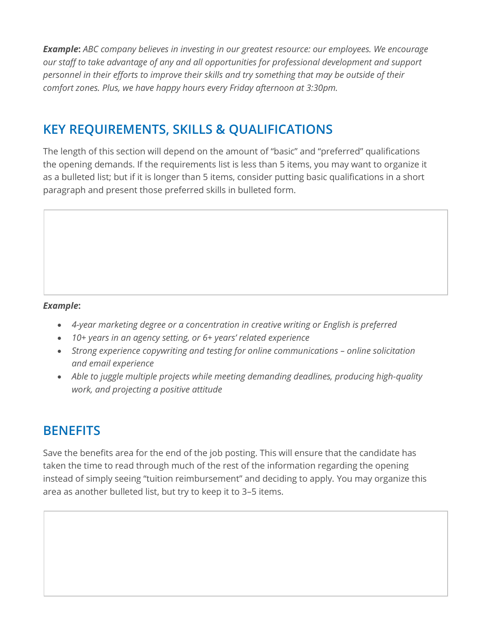*Example***:** *ABC company believes in investing in our greatest resource: our employees. We encourage our staff to take advantage of any and all opportunities for professional development and support personnel in their efforts to improve their skills and try something that may be outside of their comfort zones. Plus, we have happy hours every Friday afternoon at 3:30pm.*

# **KEY REQUIREMENTS, SKILLS & QUALIFICATIONS**

The length of this section will depend on the amount of "basic" and "preferred" qualifications the opening demands. If the requirements list is less than 5 items, you may want to organize it as a bulleted list; but if it is longer than 5 items, consider putting basic qualifications in a short paragraph and present those preferred skills in bulleted form.

#### *Example***:**

- *4-year marketing degree or a concentration in creative writing or English is preferred*
- *10+ years in an agency setting, or 6+ years' related experience*
- Strong experience copywriting and testing for online communications online solicitation *and email experience*
- *Able to juggle multiple projects while meeting demanding deadlines, producing high-quality work, and projecting a positive attitude*

### **BENEFITS**

Save the benefits area for the end of the job posting. This will ensure that the candidate has taken the time to read through much of the rest of the information regarding the opening instead of simply seeing "tuition reimbursement" and deciding to apply. You may organize this area as another bulleted list, but try to keep it to 3–5 items.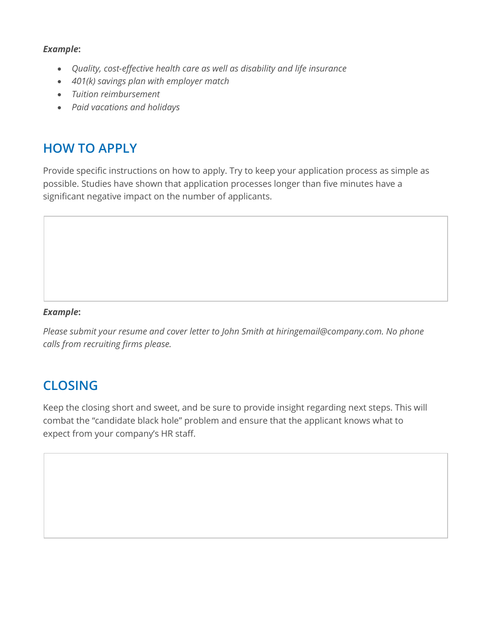#### *Example***:**

- *Quality, cost-effective health care as well as disability and life insurance*
- *401(k) savings plan with employer match*
- *Tuition reimbursement*
- *Paid vacations and holidays*

## **HOW TO APPLY**

Provide specific instructions on how to apply. Try to keep your application process as simple as possible. Studies have shown that application processes longer than five minutes have a significant negative impact on the number of applicants.

### *Example***:**

*Please submit your resume and cover letter to John Smith at hiringemail@company.com. No phone calls from recruiting firms please.*

# **CLOSING**

Keep the closing short and sweet, and be sure to provide insight regarding next steps. This will combat the "candidate black hole" problem and ensure that the applicant knows what to expect from your company's HR staff.